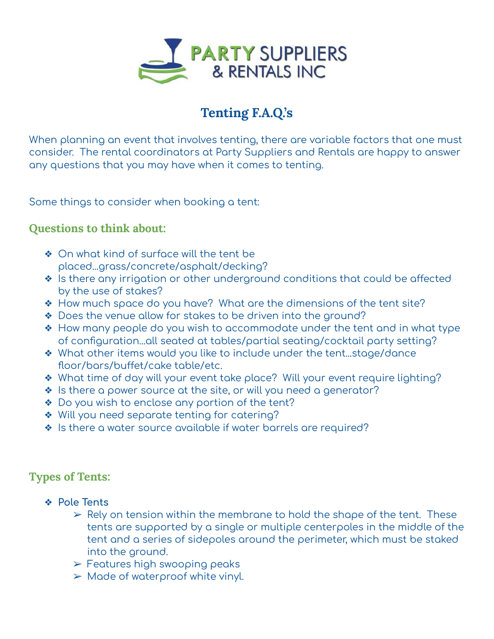

# **Tenting F.A.Q.'s**

When planning an event that involves tenting, there are variable factors that one must consider. The rental coordinators at Party Suppliers and Rentals are happy to answer any questions that you may have when it comes to tenting.

Some things to consider when booking a tent:

## **Questions to think about:**

- ◆ On what kind of surface will the tent be placed...grass/concrete/asphalt/decking?
- ❖ Is there any irrigation or other underground conditions that could be affected by the use of stakes?
- ❖ How much space do you have? What are the dimensions of the tent site?
- ❖ Does the venue allow for stakes to be driven into the ground?
- ❖ How many people do you wish to accommodate under the tent and in what type of configuration...all seated at tables/partial seating/cocktail party setting?
- ❖ What other items would you like to include under the tent...stage/dance floor/bars/buffet/cake table/etc.
- ❖ What time of day will your event take place? Will your event require lighting?
- ❖ Is there a power source at the site, or will you need a generator?
- ❖ Do you wish to enclose any portion of the tent?
- ❖ Will you need separate tenting for catering?
- ❖ Is there a water source available if water barrels are required?

# **Types of Tents:**

- ❖ **Pole Tents**
	- $\triangleright$  Rely on tension within the membrane to hold the shape of the tent. These tents are supported by a single or multiple centerpoles in the middle of the tent and a series of sidepoles around the perimeter, which must be staked into the ground.
	- $\triangleright$  Features high swooping peaks
	- $\triangleright$  Made of waterproof white vinyl.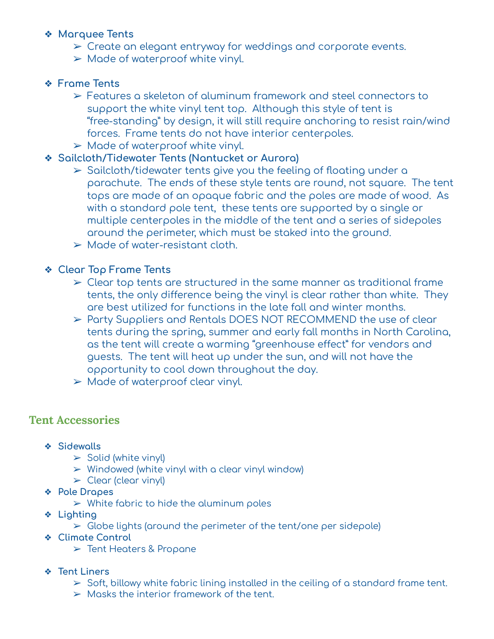#### ❖ **Marquee Tents**

- ➢ Create an elegant entryway for weddings and corporate events.
- $\triangleright$  Made of waterproof white vinyl.

### ❖ **Frame Tents**

- ➢ Features a skeleton of aluminum framework and steel connectors to support the white vinyl tent top. Although this style of tent is "free-standing" by design, it will still require anchoring to resist rain/wind forces. Frame tents do not have interior centerpoles.
- $\triangleright$  Made of waterproof white vinyl.

#### ❖ **Sailcloth/Tidewater Tents (Nantucket or Aurora)**

- ➢ Sailcloth/tidewater tents give you the feeling of floating under a parachute. The ends of these style tents are round, not square. The tent tops are made of an opaque fabric and the poles are made of wood. As with a standard pole tent, these tents are supported by a single or multiple centerpoles in the middle of the tent and a series of sidepoles around the perimeter, which must be staked into the ground.
- $\triangleright$  Made of water-resistant cloth.

### ❖ **Clear Top Frame Tents**

- $\geq$  Clear top tents are structured in the same manner as traditional frame tents, the only difference being the vinyl is clear rather than white. They are best utilized for functions in the late fall and winter months.
- ➢ Party Suppliers and Rentals DOES NOT RECOMMEND the use of clear tents during the spring, summer and early fall months in North Carolina, as the tent will create a warming "greenhouse effect" for vendors and guests. The tent will heat up under the sun, and will not have the opportunity to cool down throughout the day.
- ➢ Made of waterproof clear vinyl.

# **Tent Accessories**

- ❖ **Sidewalls**
	- $\triangleright$  Solid (white vinyl)
	- $>$  Windowed (white vinyl with a clear vinyl window)
	- $\triangleright$  Clear (clear vinyl)
- ❖ **Pole Drapes**
	- $\triangleright$  White fabric to hide the aluminum poles
- ❖ **Lighting**
	- $\triangleright$  Globe lights (around the perimeter of the tent/one per sidepole)
- ❖ **Climate Control**
	- ➢ Tent Heaters & Propane
- ❖ **Tent Liners**
	- $\geq$  Soft, billowy white fabric lining installed in the ceiling of a standard frame tent.
	- $\triangleright$  Masks the interior framework of the tent.